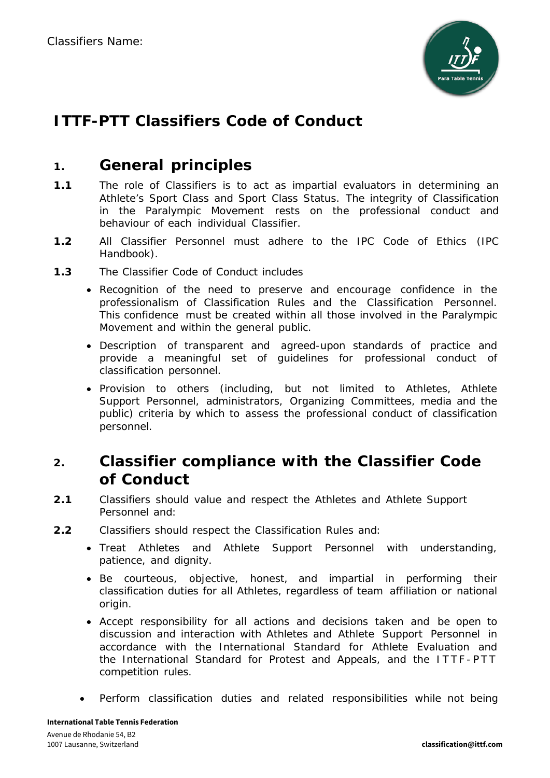

# **ITTF-PTT Classifiers Code of Conduct**

### **1. General principles**

- **1.1** The role of Classifiers is to act as impartial evaluators in determining an Athlete's Sport Class and Sport Class Status. The integrity of Classification in the Paralympic Movement rests on the professional conduct and behaviour of each individual Classifier.
- **1.2** All Classifier Personnel must adhere to the IPC Code of Ethics (IPC Handbook).
- **1.3** The Classifier Code of Conduct includes
	- Recognition of the need to preserve and encourage confidence in the professionalism of Classification Rules and the Classification Personnel. This confidence must be created within all those involved in the Paralympic Movement and within the general public.
	- Description of transparent and agreed-upon standards of practice and provide a meaningful set of guidelines for professional conduct of classification personnel.
	- Provision to others (including, but not limited to Athletes, Athlete Support Personnel, administrators, Organizing Committees, media and the public) criteria by which to assess the professional conduct of classification personnel.

## **2. Classifier compliance with the Classifier Code of Conduct**

- **2.1** Classifiers should value and respect the Athletes and Athlete Support Personnel and:
- **2.2** Classifiers should respect the Classification Rules and:
	- Treat Athletes and Athlete Support Personnel with understanding, patience, and dignity.
	- Be courteous, objective, honest, and impartial in performing their classification duties for all Athletes, regardless of team affiliation or national origin.
	- Accept responsibility for all actions and decisions taken and be open to discussion and interaction with Athletes and Athlete Support Personnel in accordance with the International Standard for Athlete Evaluation and the International Standard for Protest and Appeals, and the ITTF - PTT competition rules.
	- Perform classification duties and related responsibilities while not being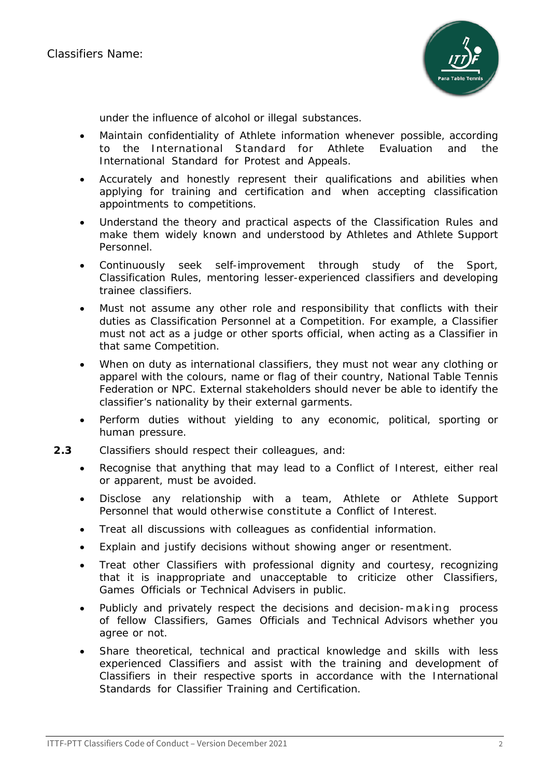

under the influence of alcohol or illegal substances.

- Maintain confidentiality of Athlete information whenever possible, according to the International Standard for Athlete Evaluation and the International Standard for Protest and Appeals.
- Accurately and honestly represent their qualifications and abilities when applying for training and certification and when accepting classification appointments to competitions.
- Understand the theory and practical aspects of the Classification Rules and make them widely known and understood by Athletes and Athlete Support Personnel.
- Continuously seek self-improvement through study of the Sport, Classification Rules, mentoring lesser-experienced classifiers and developing trainee classifiers.
- Must not assume any other role and responsibility that conflicts with their duties as Classification Personnel at a Competition. For example, a Classifier must not act as a judge or other sports official, when acting as a Classifier in that same Competition.
- When on duty as international classifiers, they must not wear any clothing or apparel with the colours, name or flag of their country, National Table Tennis Federation or NPC. External stakeholders should never be able to identify the classifier's nationality by their external garments.
- Perform duties without yielding to any economic, political, sporting or human pressure.
- **2.3** Classifiers should respect their colleagues, and:
	- Recognise that anything that may lead to a Conflict of Interest, either real or apparent, must be avoided.
	- Disclose any relationship with a team, Athlete or Athlete Support Personnel that would otherwise constitute a Conflict of Interest.
	- Treat all discussions with colleagues as confidential information.
	- Explain and justify decisions without showing anger or resentment.
	- Treat other Classifiers with professional dignity and courtesy, recognizing that it is inappropriate and unacceptable to criticize other Classifiers, Games Officials or Technical Advisers in public.
	- Publicly and privately respect the decisions and decision-making process of fellow Classifiers, Games Officials and Technical Advisors whether you agree or not.
	- Share theoretical, technical and practical knowledge and skills with less experienced Classifiers and assist with the training and development of Classifiers in their respective sports in accordance with the International Standards for Classifier Training and Certification.